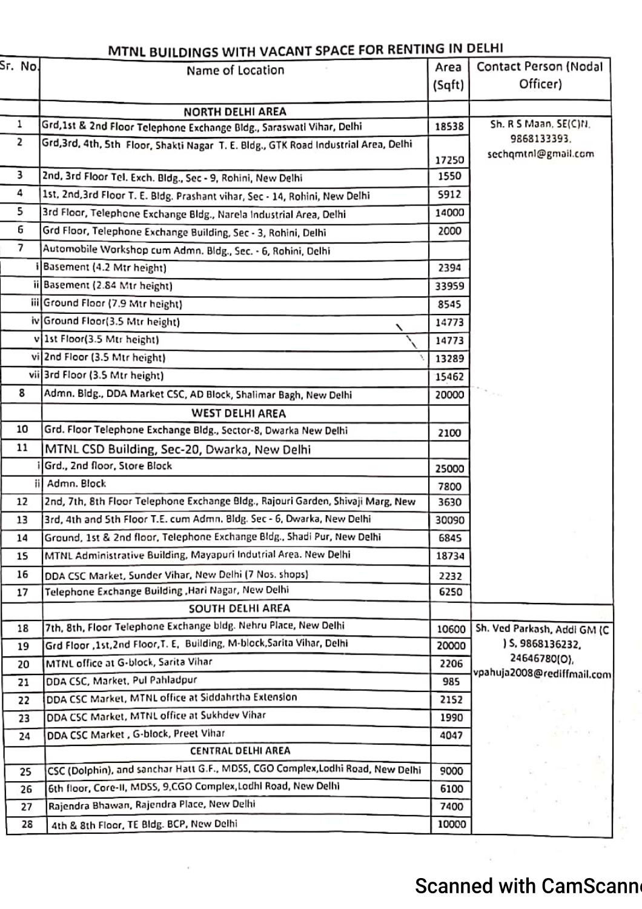## MTNL BUILDINGS WITH VACANT SPACE FOR RENTING IN DELHI

| Sr. No.                  | Name of Location                                                                    | Area   | Contact Person (Nodal       |
|--------------------------|-------------------------------------------------------------------------------------|--------|-----------------------------|
|                          |                                                                                     | (Sqft) | Officer)                    |
|                          | <b>NORTH DELHI AREA</b>                                                             |        |                             |
| 1                        | Grd, 1st & 2nd Floor Telephone Exchange Bidg., Saraswati Vihar, Delhi               | 18538  | Sh. R S Maan, SE(C)N.       |
| 2                        | Grd, 3rd, 4th, 5th Floor, Shakti Nagar T. E. Bldg., GTK Road Industrial Area, Delhi |        | 9868133393.                 |
|                          |                                                                                     | 17250  | sechqmtnl@gmail.com         |
| 3                        | 2nd, 3rd Floor Tel. Exch. Bldg., Sec - 9, Rohini, New Delhi                         | 1550   |                             |
| 4                        | 1st, 2nd, 3rd Floor T. E. Bldg. Prashant vihar, Sec - 14, Rohini, New Delhi         | 5912   |                             |
| 5                        | 3rd Floor, Telephone Exchange Bldg., Narela Industrial Area, Delhi                  |        |                             |
| 6                        | Grd Floor, Telephone Exchange Building, Sec - 3, Rohini, Delhi                      | 2000   |                             |
| $\overline{\phantom{a}}$ | Automobile Workshop cum Admn. Bldg., Sec. - 6, Rohini, Delhi                        |        |                             |
|                          | Basement (4.2 Mtr height)                                                           | 2394   |                             |
|                          | ii Basement (2.84 Mtr height)                                                       | 33959  |                             |
|                          | iii Ground Floor (7.9 Mtr height)                                                   | 8545   |                             |
|                          | iv Ground Floor(3.5 Mtr height)                                                     | 14773  |                             |
|                          | v 1st Floor(3.5 Mtr height)                                                         | 14773  |                             |
|                          | vi 2nd Floor (3.5 Mtr height)                                                       | 13289  |                             |
|                          | vii 3rd Floor (3.5 Mtr height)                                                      | 15462  |                             |
| 8                        | Admn. Bidg., DDA Market CSC, AD Block, Shalimar Bagh, New Delhi                     | 20000  |                             |
|                          | WEST DELHI AREA                                                                     |        |                             |
| 10                       | Grd. Floor Telephone Exchange Bldg., Sector-8, Dwarka New Delhi                     | 2100   |                             |
| 11                       | MTNL CSD Building, Sec-20, Dwarka, New Delhi                                        |        |                             |
|                          | Grd., 2nd floor, Store Block                                                        | 25000  |                             |
| ii.                      | Admn. Block                                                                         | 7800   |                             |
| 12                       | 2nd, 7th, 8th Floor Telephone Exchange Bldg., Rajouri Garden, Shivaji Marg, New     | 3630   |                             |
| 13                       | 3rd, 4th and 5th Floor T.E. cum Admn. Bldg. Sec - 6, Dwarka, New Delhi              | 30090  |                             |
| 14                       | Ground, 1st & 2nd floor, Telephone Exchange Bldg., Shadi Pur, New Delhi             | 6845   |                             |
| 15                       | MTNL Administrative Building, Mayapuri Indutrial Area. New Delhi                    | 18734  |                             |
| 16                       | DDA CSC Market, Sunder Vihar, New Delhi (7 Nos. shops)                              | 2232   |                             |
| 17                       | Telephone Exchange Building , Hari Nagar, New Delhi                                 | 6250   |                             |
|                          | <b>SOUTH DELHI AREA</b>                                                             |        |                             |
| 18                       | 7th, 8th, Floor Telephone Exchange bidg. Nehru Place, New Delhi                     | 10600  | Sh. Ved Parkash, Addi GM (C |
| 19                       | Grd Floor , 1st, 2nd Floor, T. E. Building, M-block, Sarita Vihar, Delhi            | 20000  | ) S, 9868136232,            |
| 20                       | MTNL office at G-block, Sarita Vihar                                                | 2206   | 24646780(O),                |
| 21                       | DDA CSC, Market, Pul Pahladpur                                                      | 985    | vpahuja2008@rediffmail.com  |
| 22                       | DDA CSC Market, MTNL office at Siddahrtha Extension                                 | 2152   |                             |
| 23                       | DDA CSC Market, MTNL office at Sukhdev Vihar                                        | 1990   |                             |
| 24                       | DDA CSC Market, G-block, Preet Vihar                                                | 4047   |                             |
|                          | CENTRAL DELHI AREA                                                                  |        |                             |
| 25                       | CSC (Dolphin), and sanchar Hatt G.F., MDSS, CGO Complex, Lodhi Road, New Delhi      | 9000   |                             |
| 26                       | 6th floor, Core-II, MDSS, 9,CGO Complex, Lodhi Road, New Delhi                      | 6100   |                             |
| 27                       | Rajendra Bhawan, Rajendra Place, New Delhi                                          | 7400   |                             |
| 28                       | 4th & 8th Floor, TE Bldg. BCP, New Delhi                                            | 10000  |                             |
|                          |                                                                                     |        |                             |

# **Scanned with CamScann**

 $\mathcal{C}_{\mathcal{A}}$  .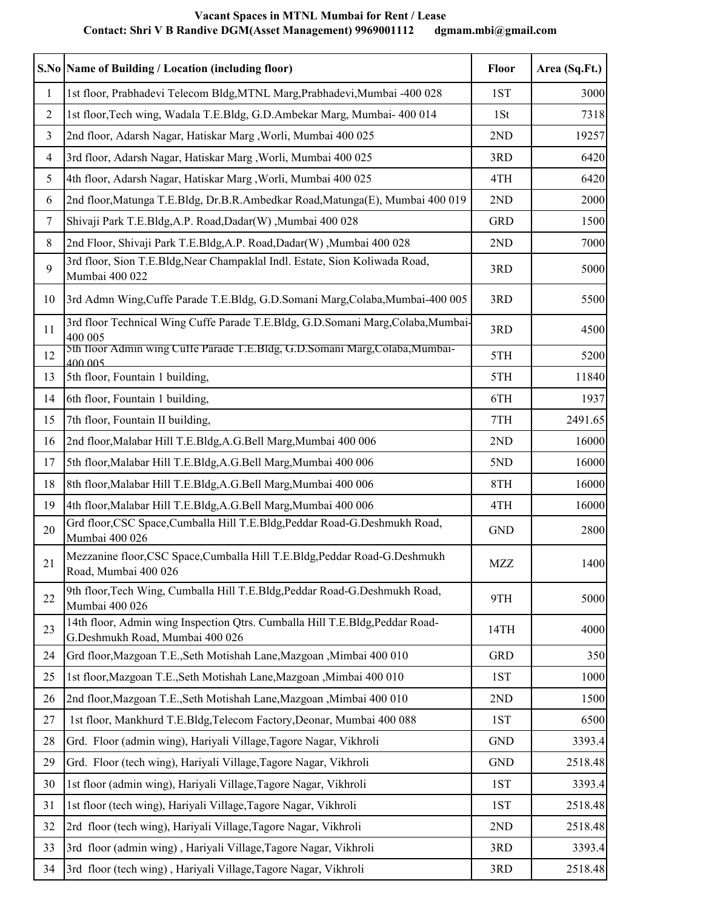#### **Vacant Spaces in MTNL Mumbai for Rent / Lease Contact: Shri V B Randive DGM(Asset Management) 9969001112 dgmam.mbi@gmail.com**

|                         | S.No Name of Building / Location (including floor)                                                              | Floor      | Area (Sq.Ft.) |
|-------------------------|-----------------------------------------------------------------------------------------------------------------|------------|---------------|
| $\mathbf{1}$            | 1st floor, Prabhadevi Telecom Bldg, MTNL Marg, Prabhadevi, Mumbai -400 028                                      | 1ST        | 3000          |
| $\overline{2}$          | 1st floor, Tech wing, Wadala T.E.Bldg, G.D.Ambekar Marg, Mumbai- 400 014                                        | 1St        | 7318          |
| 3                       | 2nd floor, Adarsh Nagar, Hatiskar Marg, Worli, Mumbai 400 025                                                   | 2ND        | 19257         |
| $\overline{\mathbf{4}}$ | 3rd floor, Adarsh Nagar, Hatiskar Marg, Worli, Mumbai 400 025                                                   | 3RD        | 6420          |
| 5                       | 4th floor, Adarsh Nagar, Hatiskar Marg, Worli, Mumbai 400 025                                                   | 4TH        | 6420          |
| 6                       | 2nd floor, Matunga T.E.Bldg, Dr.B.R.Ambedkar Road, Matunga(E), Mumbai 400 019                                   | 2ND        | 2000          |
| 7                       | Shivaji Park T.E.Bldg, A.P. Road, Dadar(W), Mumbai 400 028                                                      | <b>GRD</b> | 1500          |
| 8                       | 2nd Floor, Shivaji Park T.E.Bldg,A.P. Road,Dadar(W),Mumbai 400 028                                              | 2ND        | 7000          |
| 9                       | 3rd floor, Sion T.E.Bldg, Near Champaklal Indl. Estate, Sion Koliwada Road,<br>Mumbai 400 022                   | 3RD        | 5000          |
| 10                      | 3rd Admn Wing, Cuffe Parade T.E.Bldg, G.D.Somani Marg, Colaba, Mumbai-400 005                                   | 3RD        | 5500          |
| 11                      | 3rd floor Technical Wing Cuffe Parade T.E.Bldg, G.D.Somani Marg,Colaba,Mumbai-<br>400 005                       | 3RD        | 4500          |
| 12                      | 5th floor Admin wing Cuffe Parade T.E.Bldg, G.D.Somani Marg,Colaba,Mumbai-<br>400 005                           | 5TH        | 5200          |
| 13                      | 5th floor, Fountain 1 building,                                                                                 | 5TH        | 11840         |
| 14                      | 6th floor, Fountain 1 building,                                                                                 | 6TH        | 1937          |
| 15                      | 7th floor, Fountain II building,                                                                                | 7TH        | 2491.65       |
| 16                      | 2nd floor, Malabar Hill T.E.Bldg, A.G.Bell Marg, Mumbai 400 006                                                 | 2ND        | 16000         |
| 17                      | 5th floor, Malabar Hill T.E.Bldg, A.G.Bell Marg, Mumbai 400 006                                                 | 5ND        | 16000         |
| 18                      | 8th floor, Malabar Hill T.E.Bldg, A.G.Bell Marg, Mumbai 400 006                                                 | 8TH        | 16000         |
| 19                      | 4th floor, Malabar Hill T.E.Bldg, A.G.Bell Marg, Mumbai 400 006                                                 | 4TH        | 16000         |
| 20                      | Grd floor, CSC Space, Cumballa Hill T.E.Bldg, Peddar Road-G.Deshmukh Road,<br>Mumbai 400 026                    | <b>GND</b> | 2800          |
| 21                      | Mezzanine floor, CSC Space, Cumballa Hill T.E.Bldg, Peddar Road-G.Deshmukh<br>Road, Mumbai 400 026              | <b>MZZ</b> | 1400          |
| 22                      | 9th floor, Tech Wing, Cumballa Hill T.E.Bldg, Peddar Road-G.Deshmukh Road,<br>Mumbai 400 026                    | 9TH        | 5000          |
| 23                      | 14th floor, Admin wing Inspection Qtrs. Cumballa Hill T.E.Bldg, Peddar Road-<br>G.Deshmukh Road, Mumbai 400 026 | 14TH       | 4000          |
| 24                      | Grd floor, Mazgoan T.E., Seth Motishah Lane, Mazgoan, Mimbai 400 010                                            | <b>GRD</b> | 350           |
| 25                      | 1st floor, Mazgoan T.E., Seth Motishah Lane, Mazgoan, Mimbai 400 010                                            | 1ST        | 1000          |
| 26                      | 2nd floor, Mazgoan T.E., Seth Motishah Lane, Mazgoan, Mimbai 400 010                                            | 2ND        | 1500          |
| 27                      | 1st floor, Mankhurd T.E.Bldg, Telecom Factory, Deonar, Mumbai 400 088                                           | 1ST        | 6500          |
| 28                      | Grd. Floor (admin wing), Hariyali Village, Tagore Nagar, Vikhroli                                               | <b>GND</b> | 3393.4        |
| 29                      | Grd. Floor (tech wing), Hariyali Village, Tagore Nagar, Vikhroli                                                | <b>GND</b> | 2518.48       |
| 30                      | 1st floor (admin wing), Hariyali Village, Tagore Nagar, Vikhroli                                                | 1ST        | 3393.4        |
| 31                      | 1st floor (tech wing), Hariyali Village, Tagore Nagar, Vikhroli                                                 | 1ST        | 2518.48       |
| 32                      | 2rd floor (tech wing), Hariyali Village, Tagore Nagar, Vikhroli                                                 | 2ND        | 2518.48       |
| 33                      | 3rd floor (admin wing), Hariyali Village, Tagore Nagar, Vikhroli                                                | 3RD        | 3393.4        |
| 34                      | 3rd floor (tech wing), Hariyali Village, Tagore Nagar, Vikhroli                                                 | 3RD        | 2518.48       |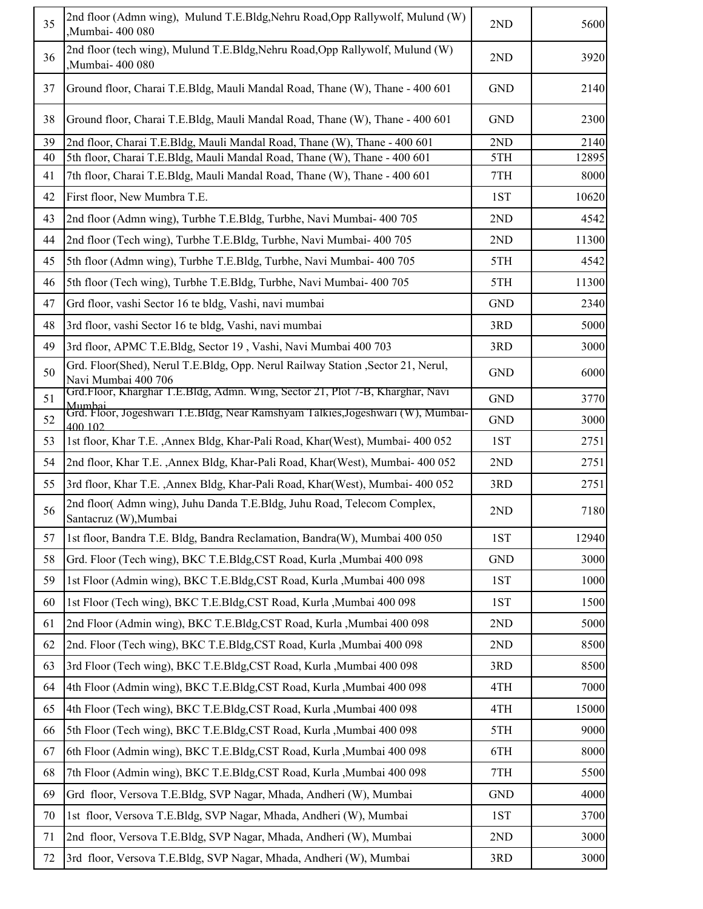| 2nd floor (tech wing), Mulund T.E.Bldg, Nehru Road, Opp Rallywolf, Mulund (W)<br>36<br>3920<br>2ND<br>Mumbai- 400 080<br>37<br>Ground floor, Charai T.E.Bldg, Mauli Mandal Road, Thane (W), Thane - 400 601<br><b>GND</b><br>2300<br>38<br>Ground floor, Charai T.E.Bldg, Mauli Mandal Road, Thane (W), Thane - 400 601<br><b>GND</b><br>2nd floor, Charai T.E.Bldg, Mauli Mandal Road, Thane (W), Thane - 400 601<br>39<br>2ND<br>2140<br>5th floor, Charai T.E.Bldg, Mauli Mandal Road, Thane (W), Thane - 400 601<br>40<br>12895<br>5TH<br>41<br>7th floor, Charai T.E.Bldg, Mauli Mandal Road, Thane (W), Thane - 400 601<br>8000<br>7TH<br>42<br>First floor, New Mumbra T.E.<br>10620<br>1ST<br>43<br>4542<br>2nd floor (Admn wing), Turbhe T.E.Bldg, Turbhe, Navi Mumbai- 400 705<br>2ND<br>44<br>2nd floor (Tech wing), Turbhe T.E.Bldg, Turbhe, Navi Mumbai- 400 705<br>2ND<br>11300<br>45<br>5th floor (Admn wing), Turbhe T.E.Bldg, Turbhe, Navi Mumbai- 400 705<br>4542<br>5TH<br>46<br>5th floor (Tech wing), Turbhe T.E.Bldg, Turbhe, Navi Mumbai- 400 705<br>5TH<br>11300<br>2340<br>47<br>Grd floor, vashi Sector 16 te bldg, Vashi, navi mumbai<br><b>GND</b><br>48<br>3rd floor, vashi Sector 16 te bldg, Vashi, navi mumbai<br>3RD<br>5000<br>49<br>3rd floor, APMC T.E.Bldg, Sector 19, Vashi, Navi Mumbai 400 703<br>3RD<br>3000<br>Grd. Floor(Shed), Nerul T.E.Bldg, Opp. Nerul Railway Station , Sector 21, Nerul,<br>50<br>6000<br><b>GND</b><br>Navi Mumbai 400 706<br>Grd.Floor, Kharghar T.E.Bldg, Admn. Wing, Sector 21, Plot 7-B, Kharghar, Navi<br>51<br><b>GND</b><br>3770<br>Mumbai<br>Grd. Floor, Jogeshwari T.E.Bldg, Near Ramshyam Talkies,Jogeshwari (W), Mumbai-<br>52<br><b>GND</b><br>3000<br>400 102<br>1st floor, Khar T.E. , Annex Bldg, Khar-Pali Road, Khar(West), Mumbai- 400 052<br>53<br>1ST<br>2751<br>2nd floor, Khar T.E. , Annex Bldg, Khar-Pali Road, Khar(West), Mumbai- 400 052<br>54<br>2ND<br>2751<br>3rd floor, Khar T.E. , Annex Bldg, Khar-Pali Road, Khar(West), Mumbai- 400 052<br>55<br>3RD<br>2751<br>2nd floor( Admn wing), Juhu Danda T.E.Bldg, Juhu Road, Telecom Complex,<br>56<br>2ND<br>7180<br>Santacruz (W), Mumbai<br>12940<br>57<br>1st floor, Bandra T.E. Bldg, Bandra Reclamation, Bandra(W), Mumbai 400 050<br>1ST<br>Grd. Floor (Tech wing), BKC T.E.Bldg,CST Road, Kurla ,Mumbai 400 098<br><b>GND</b><br>3000<br>58<br>59<br>1st Floor (Admin wing), BKC T.E.Bldg, CST Road, Kurla , Mumbai 400 098<br>1ST<br>1000<br>60<br>1st Floor (Tech wing), BKC T.E.Bldg, CST Road, Kurla , Mumbai 400 098<br>1ST<br>1500<br>61<br>2nd Floor (Admin wing), BKC T.E.Bldg,CST Road, Kurla ,Mumbai 400 098<br>2ND<br>5000<br>62<br>2nd. Floor (Tech wing), BKC T.E.Bldg,CST Road, Kurla ,Mumbai 400 098<br>2ND<br>8500<br>63<br>3rd Floor (Tech wing), BKC T.E.Bldg,CST Road, Kurla ,Mumbai 400 098<br>3RD<br>8500<br>4th Floor (Admin wing), BKC T.E.Bldg,CST Road, Kurla ,Mumbai 400 098<br>64<br>4TH<br>7000<br>65<br>4th Floor (Tech wing), BKC T.E.Bldg,CST Road, Kurla ,Mumbai 400 098<br>15000<br>4TH<br>5th Floor (Tech wing), BKC T.E.Bldg,CST Road, Kurla ,Mumbai 400 098<br>66<br>5TH<br>9000<br>67<br>6th Floor (Admin wing), BKC T.E.Bldg,CST Road, Kurla ,Mumbai 400 098<br>6TH<br>8000<br>68<br>7TH<br>7th Floor (Admin wing), BKC T.E.Bldg,CST Road, Kurla ,Mumbai 400 098<br>5500<br>69<br>Grd floor, Versova T.E.Bldg, SVP Nagar, Mhada, Andheri (W), Mumbai<br><b>GND</b><br>4000<br>70<br>1st floor, Versova T.E.Bldg, SVP Nagar, Mhada, Andheri (W), Mumbai<br>3700<br>1ST<br>2nd floor, Versova T.E.Bldg, SVP Nagar, Mhada, Andheri (W), Mumbai<br>71<br>2ND<br>3000<br>3000 | 35 | 2nd floor (Admn wing), Mulund T.E.Bldg, Nehru Road, Opp Rallywolf, Mulund (W)<br>Mumbai- 400 080, | 2ND | 5600 |
|-----------------------------------------------------------------------------------------------------------------------------------------------------------------------------------------------------------------------------------------------------------------------------------------------------------------------------------------------------------------------------------------------------------------------------------------------------------------------------------------------------------------------------------------------------------------------------------------------------------------------------------------------------------------------------------------------------------------------------------------------------------------------------------------------------------------------------------------------------------------------------------------------------------------------------------------------------------------------------------------------------------------------------------------------------------------------------------------------------------------------------------------------------------------------------------------------------------------------------------------------------------------------------------------------------------------------------------------------------------------------------------------------------------------------------------------------------------------------------------------------------------------------------------------------------------------------------------------------------------------------------------------------------------------------------------------------------------------------------------------------------------------------------------------------------------------------------------------------------------------------------------------------------------------------------------------------------------------------------------------------------------------------------------------------------------------------------------------------------------------------------------------------------------------------------------------------------------------------------------------------------------------------------------------------------------------------------------------------------------------------------------------------------------------------------------------------------------------------------------------------------------------------------------------------------------------------------------------------------------------------------------------------------------------------------------------------------------------------------------------------------------------------------------------------------------------------------------------------------------------------------------------------------------------------------------------------------------------------------------------------------------------------------------------------------------------------------------------------------------------------------------------------------------------------------------------------------------------------------------------------------------------------------------------------------------------------------------------------------------------------------------------------------------------------------------------------------------------------------------------------------------------------------------------------------------------------------------------------------------------------------------------------------------------------|----|---------------------------------------------------------------------------------------------------|-----|------|
|                                                                                                                                                                                                                                                                                                                                                                                                                                                                                                                                                                                                                                                                                                                                                                                                                                                                                                                                                                                                                                                                                                                                                                                                                                                                                                                                                                                                                                                                                                                                                                                                                                                                                                                                                                                                                                                                                                                                                                                                                                                                                                                                                                                                                                                                                                                                                                                                                                                                                                                                                                                                                                                                                                                                                                                                                                                                                                                                                                                                                                                                                                                                                                                                                                                                                                                                                                                                                                                                                                                                                                                                                                                                       |    |                                                                                                   |     |      |
|                                                                                                                                                                                                                                                                                                                                                                                                                                                                                                                                                                                                                                                                                                                                                                                                                                                                                                                                                                                                                                                                                                                                                                                                                                                                                                                                                                                                                                                                                                                                                                                                                                                                                                                                                                                                                                                                                                                                                                                                                                                                                                                                                                                                                                                                                                                                                                                                                                                                                                                                                                                                                                                                                                                                                                                                                                                                                                                                                                                                                                                                                                                                                                                                                                                                                                                                                                                                                                                                                                                                                                                                                                                                       |    |                                                                                                   |     | 2140 |
|                                                                                                                                                                                                                                                                                                                                                                                                                                                                                                                                                                                                                                                                                                                                                                                                                                                                                                                                                                                                                                                                                                                                                                                                                                                                                                                                                                                                                                                                                                                                                                                                                                                                                                                                                                                                                                                                                                                                                                                                                                                                                                                                                                                                                                                                                                                                                                                                                                                                                                                                                                                                                                                                                                                                                                                                                                                                                                                                                                                                                                                                                                                                                                                                                                                                                                                                                                                                                                                                                                                                                                                                                                                                       |    |                                                                                                   |     |      |
|                                                                                                                                                                                                                                                                                                                                                                                                                                                                                                                                                                                                                                                                                                                                                                                                                                                                                                                                                                                                                                                                                                                                                                                                                                                                                                                                                                                                                                                                                                                                                                                                                                                                                                                                                                                                                                                                                                                                                                                                                                                                                                                                                                                                                                                                                                                                                                                                                                                                                                                                                                                                                                                                                                                                                                                                                                                                                                                                                                                                                                                                                                                                                                                                                                                                                                                                                                                                                                                                                                                                                                                                                                                                       |    |                                                                                                   |     |      |
|                                                                                                                                                                                                                                                                                                                                                                                                                                                                                                                                                                                                                                                                                                                                                                                                                                                                                                                                                                                                                                                                                                                                                                                                                                                                                                                                                                                                                                                                                                                                                                                                                                                                                                                                                                                                                                                                                                                                                                                                                                                                                                                                                                                                                                                                                                                                                                                                                                                                                                                                                                                                                                                                                                                                                                                                                                                                                                                                                                                                                                                                                                                                                                                                                                                                                                                                                                                                                                                                                                                                                                                                                                                                       |    |                                                                                                   |     |      |
|                                                                                                                                                                                                                                                                                                                                                                                                                                                                                                                                                                                                                                                                                                                                                                                                                                                                                                                                                                                                                                                                                                                                                                                                                                                                                                                                                                                                                                                                                                                                                                                                                                                                                                                                                                                                                                                                                                                                                                                                                                                                                                                                                                                                                                                                                                                                                                                                                                                                                                                                                                                                                                                                                                                                                                                                                                                                                                                                                                                                                                                                                                                                                                                                                                                                                                                                                                                                                                                                                                                                                                                                                                                                       |    |                                                                                                   |     |      |
|                                                                                                                                                                                                                                                                                                                                                                                                                                                                                                                                                                                                                                                                                                                                                                                                                                                                                                                                                                                                                                                                                                                                                                                                                                                                                                                                                                                                                                                                                                                                                                                                                                                                                                                                                                                                                                                                                                                                                                                                                                                                                                                                                                                                                                                                                                                                                                                                                                                                                                                                                                                                                                                                                                                                                                                                                                                                                                                                                                                                                                                                                                                                                                                                                                                                                                                                                                                                                                                                                                                                                                                                                                                                       |    |                                                                                                   |     |      |
|                                                                                                                                                                                                                                                                                                                                                                                                                                                                                                                                                                                                                                                                                                                                                                                                                                                                                                                                                                                                                                                                                                                                                                                                                                                                                                                                                                                                                                                                                                                                                                                                                                                                                                                                                                                                                                                                                                                                                                                                                                                                                                                                                                                                                                                                                                                                                                                                                                                                                                                                                                                                                                                                                                                                                                                                                                                                                                                                                                                                                                                                                                                                                                                                                                                                                                                                                                                                                                                                                                                                                                                                                                                                       |    |                                                                                                   |     |      |
|                                                                                                                                                                                                                                                                                                                                                                                                                                                                                                                                                                                                                                                                                                                                                                                                                                                                                                                                                                                                                                                                                                                                                                                                                                                                                                                                                                                                                                                                                                                                                                                                                                                                                                                                                                                                                                                                                                                                                                                                                                                                                                                                                                                                                                                                                                                                                                                                                                                                                                                                                                                                                                                                                                                                                                                                                                                                                                                                                                                                                                                                                                                                                                                                                                                                                                                                                                                                                                                                                                                                                                                                                                                                       |    |                                                                                                   |     |      |
|                                                                                                                                                                                                                                                                                                                                                                                                                                                                                                                                                                                                                                                                                                                                                                                                                                                                                                                                                                                                                                                                                                                                                                                                                                                                                                                                                                                                                                                                                                                                                                                                                                                                                                                                                                                                                                                                                                                                                                                                                                                                                                                                                                                                                                                                                                                                                                                                                                                                                                                                                                                                                                                                                                                                                                                                                                                                                                                                                                                                                                                                                                                                                                                                                                                                                                                                                                                                                                                                                                                                                                                                                                                                       |    |                                                                                                   |     |      |
|                                                                                                                                                                                                                                                                                                                                                                                                                                                                                                                                                                                                                                                                                                                                                                                                                                                                                                                                                                                                                                                                                                                                                                                                                                                                                                                                                                                                                                                                                                                                                                                                                                                                                                                                                                                                                                                                                                                                                                                                                                                                                                                                                                                                                                                                                                                                                                                                                                                                                                                                                                                                                                                                                                                                                                                                                                                                                                                                                                                                                                                                                                                                                                                                                                                                                                                                                                                                                                                                                                                                                                                                                                                                       |    |                                                                                                   |     |      |
|                                                                                                                                                                                                                                                                                                                                                                                                                                                                                                                                                                                                                                                                                                                                                                                                                                                                                                                                                                                                                                                                                                                                                                                                                                                                                                                                                                                                                                                                                                                                                                                                                                                                                                                                                                                                                                                                                                                                                                                                                                                                                                                                                                                                                                                                                                                                                                                                                                                                                                                                                                                                                                                                                                                                                                                                                                                                                                                                                                                                                                                                                                                                                                                                                                                                                                                                                                                                                                                                                                                                                                                                                                                                       |    |                                                                                                   |     |      |
|                                                                                                                                                                                                                                                                                                                                                                                                                                                                                                                                                                                                                                                                                                                                                                                                                                                                                                                                                                                                                                                                                                                                                                                                                                                                                                                                                                                                                                                                                                                                                                                                                                                                                                                                                                                                                                                                                                                                                                                                                                                                                                                                                                                                                                                                                                                                                                                                                                                                                                                                                                                                                                                                                                                                                                                                                                                                                                                                                                                                                                                                                                                                                                                                                                                                                                                                                                                                                                                                                                                                                                                                                                                                       |    |                                                                                                   |     |      |
|                                                                                                                                                                                                                                                                                                                                                                                                                                                                                                                                                                                                                                                                                                                                                                                                                                                                                                                                                                                                                                                                                                                                                                                                                                                                                                                                                                                                                                                                                                                                                                                                                                                                                                                                                                                                                                                                                                                                                                                                                                                                                                                                                                                                                                                                                                                                                                                                                                                                                                                                                                                                                                                                                                                                                                                                                                                                                                                                                                                                                                                                                                                                                                                                                                                                                                                                                                                                                                                                                                                                                                                                                                                                       |    |                                                                                                   |     |      |
|                                                                                                                                                                                                                                                                                                                                                                                                                                                                                                                                                                                                                                                                                                                                                                                                                                                                                                                                                                                                                                                                                                                                                                                                                                                                                                                                                                                                                                                                                                                                                                                                                                                                                                                                                                                                                                                                                                                                                                                                                                                                                                                                                                                                                                                                                                                                                                                                                                                                                                                                                                                                                                                                                                                                                                                                                                                                                                                                                                                                                                                                                                                                                                                                                                                                                                                                                                                                                                                                                                                                                                                                                                                                       |    |                                                                                                   |     |      |
|                                                                                                                                                                                                                                                                                                                                                                                                                                                                                                                                                                                                                                                                                                                                                                                                                                                                                                                                                                                                                                                                                                                                                                                                                                                                                                                                                                                                                                                                                                                                                                                                                                                                                                                                                                                                                                                                                                                                                                                                                                                                                                                                                                                                                                                                                                                                                                                                                                                                                                                                                                                                                                                                                                                                                                                                                                                                                                                                                                                                                                                                                                                                                                                                                                                                                                                                                                                                                                                                                                                                                                                                                                                                       |    |                                                                                                   |     |      |
|                                                                                                                                                                                                                                                                                                                                                                                                                                                                                                                                                                                                                                                                                                                                                                                                                                                                                                                                                                                                                                                                                                                                                                                                                                                                                                                                                                                                                                                                                                                                                                                                                                                                                                                                                                                                                                                                                                                                                                                                                                                                                                                                                                                                                                                                                                                                                                                                                                                                                                                                                                                                                                                                                                                                                                                                                                                                                                                                                                                                                                                                                                                                                                                                                                                                                                                                                                                                                                                                                                                                                                                                                                                                       |    |                                                                                                   |     |      |
|                                                                                                                                                                                                                                                                                                                                                                                                                                                                                                                                                                                                                                                                                                                                                                                                                                                                                                                                                                                                                                                                                                                                                                                                                                                                                                                                                                                                                                                                                                                                                                                                                                                                                                                                                                                                                                                                                                                                                                                                                                                                                                                                                                                                                                                                                                                                                                                                                                                                                                                                                                                                                                                                                                                                                                                                                                                                                                                                                                                                                                                                                                                                                                                                                                                                                                                                                                                                                                                                                                                                                                                                                                                                       |    |                                                                                                   |     |      |
|                                                                                                                                                                                                                                                                                                                                                                                                                                                                                                                                                                                                                                                                                                                                                                                                                                                                                                                                                                                                                                                                                                                                                                                                                                                                                                                                                                                                                                                                                                                                                                                                                                                                                                                                                                                                                                                                                                                                                                                                                                                                                                                                                                                                                                                                                                                                                                                                                                                                                                                                                                                                                                                                                                                                                                                                                                                                                                                                                                                                                                                                                                                                                                                                                                                                                                                                                                                                                                                                                                                                                                                                                                                                       |    |                                                                                                   |     |      |
|                                                                                                                                                                                                                                                                                                                                                                                                                                                                                                                                                                                                                                                                                                                                                                                                                                                                                                                                                                                                                                                                                                                                                                                                                                                                                                                                                                                                                                                                                                                                                                                                                                                                                                                                                                                                                                                                                                                                                                                                                                                                                                                                                                                                                                                                                                                                                                                                                                                                                                                                                                                                                                                                                                                                                                                                                                                                                                                                                                                                                                                                                                                                                                                                                                                                                                                                                                                                                                                                                                                                                                                                                                                                       |    |                                                                                                   |     |      |
|                                                                                                                                                                                                                                                                                                                                                                                                                                                                                                                                                                                                                                                                                                                                                                                                                                                                                                                                                                                                                                                                                                                                                                                                                                                                                                                                                                                                                                                                                                                                                                                                                                                                                                                                                                                                                                                                                                                                                                                                                                                                                                                                                                                                                                                                                                                                                                                                                                                                                                                                                                                                                                                                                                                                                                                                                                                                                                                                                                                                                                                                                                                                                                                                                                                                                                                                                                                                                                                                                                                                                                                                                                                                       |    |                                                                                                   |     |      |
|                                                                                                                                                                                                                                                                                                                                                                                                                                                                                                                                                                                                                                                                                                                                                                                                                                                                                                                                                                                                                                                                                                                                                                                                                                                                                                                                                                                                                                                                                                                                                                                                                                                                                                                                                                                                                                                                                                                                                                                                                                                                                                                                                                                                                                                                                                                                                                                                                                                                                                                                                                                                                                                                                                                                                                                                                                                                                                                                                                                                                                                                                                                                                                                                                                                                                                                                                                                                                                                                                                                                                                                                                                                                       |    |                                                                                                   |     |      |
|                                                                                                                                                                                                                                                                                                                                                                                                                                                                                                                                                                                                                                                                                                                                                                                                                                                                                                                                                                                                                                                                                                                                                                                                                                                                                                                                                                                                                                                                                                                                                                                                                                                                                                                                                                                                                                                                                                                                                                                                                                                                                                                                                                                                                                                                                                                                                                                                                                                                                                                                                                                                                                                                                                                                                                                                                                                                                                                                                                                                                                                                                                                                                                                                                                                                                                                                                                                                                                                                                                                                                                                                                                                                       |    |                                                                                                   |     |      |
|                                                                                                                                                                                                                                                                                                                                                                                                                                                                                                                                                                                                                                                                                                                                                                                                                                                                                                                                                                                                                                                                                                                                                                                                                                                                                                                                                                                                                                                                                                                                                                                                                                                                                                                                                                                                                                                                                                                                                                                                                                                                                                                                                                                                                                                                                                                                                                                                                                                                                                                                                                                                                                                                                                                                                                                                                                                                                                                                                                                                                                                                                                                                                                                                                                                                                                                                                                                                                                                                                                                                                                                                                                                                       |    |                                                                                                   |     |      |
|                                                                                                                                                                                                                                                                                                                                                                                                                                                                                                                                                                                                                                                                                                                                                                                                                                                                                                                                                                                                                                                                                                                                                                                                                                                                                                                                                                                                                                                                                                                                                                                                                                                                                                                                                                                                                                                                                                                                                                                                                                                                                                                                                                                                                                                                                                                                                                                                                                                                                                                                                                                                                                                                                                                                                                                                                                                                                                                                                                                                                                                                                                                                                                                                                                                                                                                                                                                                                                                                                                                                                                                                                                                                       |    |                                                                                                   |     |      |
|                                                                                                                                                                                                                                                                                                                                                                                                                                                                                                                                                                                                                                                                                                                                                                                                                                                                                                                                                                                                                                                                                                                                                                                                                                                                                                                                                                                                                                                                                                                                                                                                                                                                                                                                                                                                                                                                                                                                                                                                                                                                                                                                                                                                                                                                                                                                                                                                                                                                                                                                                                                                                                                                                                                                                                                                                                                                                                                                                                                                                                                                                                                                                                                                                                                                                                                                                                                                                                                                                                                                                                                                                                                                       |    |                                                                                                   |     |      |
|                                                                                                                                                                                                                                                                                                                                                                                                                                                                                                                                                                                                                                                                                                                                                                                                                                                                                                                                                                                                                                                                                                                                                                                                                                                                                                                                                                                                                                                                                                                                                                                                                                                                                                                                                                                                                                                                                                                                                                                                                                                                                                                                                                                                                                                                                                                                                                                                                                                                                                                                                                                                                                                                                                                                                                                                                                                                                                                                                                                                                                                                                                                                                                                                                                                                                                                                                                                                                                                                                                                                                                                                                                                                       |    |                                                                                                   |     |      |
|                                                                                                                                                                                                                                                                                                                                                                                                                                                                                                                                                                                                                                                                                                                                                                                                                                                                                                                                                                                                                                                                                                                                                                                                                                                                                                                                                                                                                                                                                                                                                                                                                                                                                                                                                                                                                                                                                                                                                                                                                                                                                                                                                                                                                                                                                                                                                                                                                                                                                                                                                                                                                                                                                                                                                                                                                                                                                                                                                                                                                                                                                                                                                                                                                                                                                                                                                                                                                                                                                                                                                                                                                                                                       |    |                                                                                                   |     |      |
|                                                                                                                                                                                                                                                                                                                                                                                                                                                                                                                                                                                                                                                                                                                                                                                                                                                                                                                                                                                                                                                                                                                                                                                                                                                                                                                                                                                                                                                                                                                                                                                                                                                                                                                                                                                                                                                                                                                                                                                                                                                                                                                                                                                                                                                                                                                                                                                                                                                                                                                                                                                                                                                                                                                                                                                                                                                                                                                                                                                                                                                                                                                                                                                                                                                                                                                                                                                                                                                                                                                                                                                                                                                                       |    |                                                                                                   |     |      |
|                                                                                                                                                                                                                                                                                                                                                                                                                                                                                                                                                                                                                                                                                                                                                                                                                                                                                                                                                                                                                                                                                                                                                                                                                                                                                                                                                                                                                                                                                                                                                                                                                                                                                                                                                                                                                                                                                                                                                                                                                                                                                                                                                                                                                                                                                                                                                                                                                                                                                                                                                                                                                                                                                                                                                                                                                                                                                                                                                                                                                                                                                                                                                                                                                                                                                                                                                                                                                                                                                                                                                                                                                                                                       |    |                                                                                                   |     |      |
|                                                                                                                                                                                                                                                                                                                                                                                                                                                                                                                                                                                                                                                                                                                                                                                                                                                                                                                                                                                                                                                                                                                                                                                                                                                                                                                                                                                                                                                                                                                                                                                                                                                                                                                                                                                                                                                                                                                                                                                                                                                                                                                                                                                                                                                                                                                                                                                                                                                                                                                                                                                                                                                                                                                                                                                                                                                                                                                                                                                                                                                                                                                                                                                                                                                                                                                                                                                                                                                                                                                                                                                                                                                                       |    |                                                                                                   |     |      |
|                                                                                                                                                                                                                                                                                                                                                                                                                                                                                                                                                                                                                                                                                                                                                                                                                                                                                                                                                                                                                                                                                                                                                                                                                                                                                                                                                                                                                                                                                                                                                                                                                                                                                                                                                                                                                                                                                                                                                                                                                                                                                                                                                                                                                                                                                                                                                                                                                                                                                                                                                                                                                                                                                                                                                                                                                                                                                                                                                                                                                                                                                                                                                                                                                                                                                                                                                                                                                                                                                                                                                                                                                                                                       |    |                                                                                                   |     |      |
|                                                                                                                                                                                                                                                                                                                                                                                                                                                                                                                                                                                                                                                                                                                                                                                                                                                                                                                                                                                                                                                                                                                                                                                                                                                                                                                                                                                                                                                                                                                                                                                                                                                                                                                                                                                                                                                                                                                                                                                                                                                                                                                                                                                                                                                                                                                                                                                                                                                                                                                                                                                                                                                                                                                                                                                                                                                                                                                                                                                                                                                                                                                                                                                                                                                                                                                                                                                                                                                                                                                                                                                                                                                                       |    |                                                                                                   |     |      |
|                                                                                                                                                                                                                                                                                                                                                                                                                                                                                                                                                                                                                                                                                                                                                                                                                                                                                                                                                                                                                                                                                                                                                                                                                                                                                                                                                                                                                                                                                                                                                                                                                                                                                                                                                                                                                                                                                                                                                                                                                                                                                                                                                                                                                                                                                                                                                                                                                                                                                                                                                                                                                                                                                                                                                                                                                                                                                                                                                                                                                                                                                                                                                                                                                                                                                                                                                                                                                                                                                                                                                                                                                                                                       |    |                                                                                                   |     |      |
|                                                                                                                                                                                                                                                                                                                                                                                                                                                                                                                                                                                                                                                                                                                                                                                                                                                                                                                                                                                                                                                                                                                                                                                                                                                                                                                                                                                                                                                                                                                                                                                                                                                                                                                                                                                                                                                                                                                                                                                                                                                                                                                                                                                                                                                                                                                                                                                                                                                                                                                                                                                                                                                                                                                                                                                                                                                                                                                                                                                                                                                                                                                                                                                                                                                                                                                                                                                                                                                                                                                                                                                                                                                                       |    |                                                                                                   |     |      |
|                                                                                                                                                                                                                                                                                                                                                                                                                                                                                                                                                                                                                                                                                                                                                                                                                                                                                                                                                                                                                                                                                                                                                                                                                                                                                                                                                                                                                                                                                                                                                                                                                                                                                                                                                                                                                                                                                                                                                                                                                                                                                                                                                                                                                                                                                                                                                                                                                                                                                                                                                                                                                                                                                                                                                                                                                                                                                                                                                                                                                                                                                                                                                                                                                                                                                                                                                                                                                                                                                                                                                                                                                                                                       |    |                                                                                                   |     |      |
|                                                                                                                                                                                                                                                                                                                                                                                                                                                                                                                                                                                                                                                                                                                                                                                                                                                                                                                                                                                                                                                                                                                                                                                                                                                                                                                                                                                                                                                                                                                                                                                                                                                                                                                                                                                                                                                                                                                                                                                                                                                                                                                                                                                                                                                                                                                                                                                                                                                                                                                                                                                                                                                                                                                                                                                                                                                                                                                                                                                                                                                                                                                                                                                                                                                                                                                                                                                                                                                                                                                                                                                                                                                                       | 72 | 3rd floor, Versova T.E.Bldg, SVP Nagar, Mhada, Andheri (W), Mumbai                                | 3RD |      |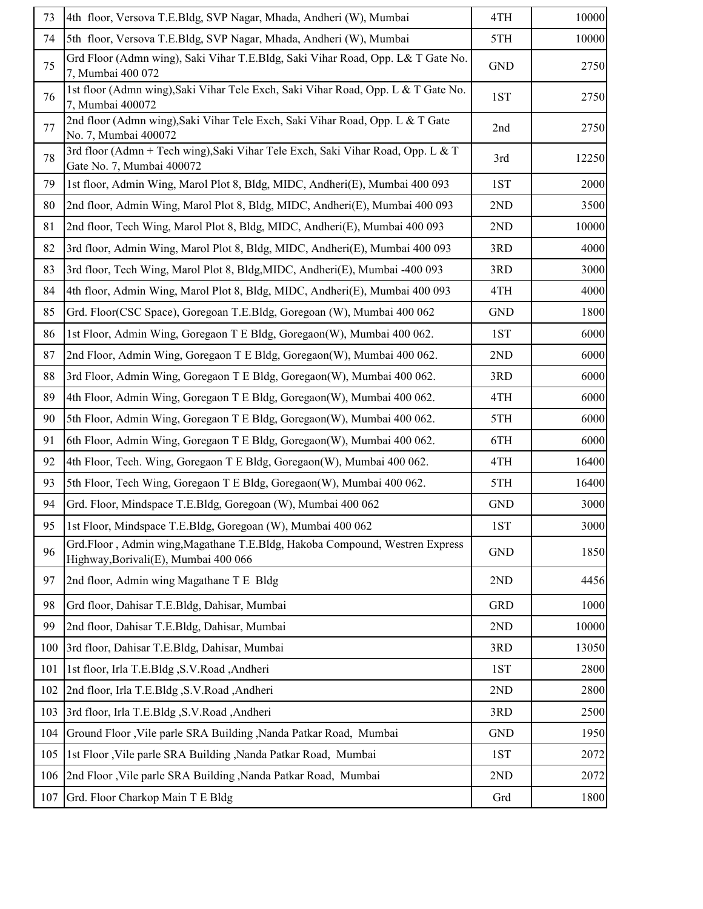| 73     | 4th floor, Versova T.E.Bldg, SVP Nagar, Mhada, Andheri (W), Mumbai                                                  | 4TH        | 10000 |
|--------|---------------------------------------------------------------------------------------------------------------------|------------|-------|
| 74     | 5th floor, Versova T.E.Bldg, SVP Nagar, Mhada, Andheri (W), Mumbai                                                  | 5TH        | 10000 |
| 75     | Grd Floor (Admn wing), Saki Vihar T.E.Bldg, Saki Vihar Road, Opp. L& T Gate No.<br>7, Mumbai 400 072                | <b>GND</b> | 2750  |
| 76     | 1st floor (Admn wing), Saki Vihar Tele Exch, Saki Vihar Road, Opp. L & T Gate No.<br>7, Mumbai 400072               | 1ST        | 2750  |
| 77     | 2nd floor (Admn wing), Saki Vihar Tele Exch, Saki Vihar Road, Opp. L & T Gate<br>No. 7, Mumbai 400072               | 2nd        | 2750  |
| $78\,$ | 3rd floor (Admn + Tech wing), Saki Vihar Tele Exch, Saki Vihar Road, Opp. L & T<br>Gate No. 7, Mumbai 400072        | 3rd        | 12250 |
| 79     | 1st floor, Admin Wing, Marol Plot 8, Bldg, MIDC, Andheri(E), Mumbai 400 093                                         | 1ST        | 2000  |
| 80     | 2nd floor, Admin Wing, Marol Plot 8, Bldg, MIDC, Andheri(E), Mumbai 400 093                                         | 2ND        | 3500  |
| 81     | 2nd floor, Tech Wing, Marol Plot 8, Bldg, MIDC, Andheri(E), Mumbai 400 093                                          | 2ND        | 10000 |
| 82     | 3rd floor, Admin Wing, Marol Plot 8, Bldg, MIDC, Andheri(E), Mumbai 400 093                                         | 3RD        | 4000  |
| 83     | 3rd floor, Tech Wing, Marol Plot 8, Bldg, MIDC, Andheri(E), Mumbai -400 093                                         | 3RD        | 3000  |
| 84     | 4th floor, Admin Wing, Marol Plot 8, Bldg, MIDC, Andheri(E), Mumbai 400 093                                         | 4TH        | 4000  |
| 85     | Grd. Floor(CSC Space), Goregoan T.E.Bldg, Goregoan (W), Mumbai 400 062                                              | <b>GND</b> | 1800  |
| 86     | 1st Floor, Admin Wing, Goregaon T E Bldg, Goregaon(W), Mumbai 400 062.                                              | 1ST        | 6000  |
| 87     | 2nd Floor, Admin Wing, Goregaon T E Bldg, Goregaon(W), Mumbai 400 062.                                              | 2ND        | 6000  |
| 88     | 3rd Floor, Admin Wing, Goregaon T E Bldg, Goregaon(W), Mumbai 400 062.                                              | 3RD        | 6000  |
| 89     | 4th Floor, Admin Wing, Goregaon T E Bldg, Goregaon(W), Mumbai 400 062.                                              | 4TH        | 6000  |
| 90     | 5th Floor, Admin Wing, Goregaon T E Bldg, Goregaon(W), Mumbai 400 062.                                              | 5TH        | 6000  |
| 91     | 6th Floor, Admin Wing, Goregaon T E Bldg, Goregaon(W), Mumbai 400 062.                                              | 6TH        | 6000  |
| 92     | 4th Floor, Tech. Wing, Goregaon T E Bldg, Goregaon(W), Mumbai 400 062.                                              | 4TH        | 16400 |
| 93     | 5th Floor, Tech Wing, Goregaon T E Bldg, Goregaon(W), Mumbai 400 062.                                               | 5TH        | 16400 |
| 94     | Grd. Floor, Mindspace T.E.Bldg, Goregoan (W), Mumbai 400 062                                                        | <b>GND</b> | 3000  |
| 95     | 1st Floor, Mindspace T.E.Bldg, Goregoan (W), Mumbai 400 062                                                         | 1ST        | 3000  |
| 96     | Grd.Floor, Admin wing, Magathane T.E.Bldg, Hakoba Compound, Westren Express<br>Highway, Borivali(E), Mumbai 400 066 | <b>GND</b> | 1850  |
| 97     | 2nd floor, Admin wing Magathane T E Bldg                                                                            | 2ND        | 4456  |
| 98     | Grd floor, Dahisar T.E.Bldg, Dahisar, Mumbai                                                                        | <b>GRD</b> | 1000  |
| 99     | 2nd floor, Dahisar T.E.Bldg, Dahisar, Mumbai                                                                        | 2ND        | 10000 |
| 100    | 3rd floor, Dahisar T.E.Bldg, Dahisar, Mumbai                                                                        | 3RD        | 13050 |
| 101    | 1st floor, Irla T.E.Bldg , S.V.Road , Andheri                                                                       | 1ST        | 2800  |
| 102    | 2nd floor, Irla T.E.Bldg , S.V.Road , Andheri                                                                       | 2ND        | 2800  |
| 103    | 3rd floor, Irla T.E.Bldg , S.V.Road , Andheri                                                                       | 3RD        | 2500  |
| 104    | Ground Floor , Vile parle SRA Building , Nanda Patkar Road, Mumbai                                                  | <b>GND</b> | 1950  |
| 105    | 1st Floor , Vile parle SRA Building , Nanda Patkar Road, Mumbai                                                     | 1ST        | 2072  |
| 106    | 2nd Floor , Vile parle SRA Building , Nanda Patkar Road, Mumbai                                                     | 2ND        | 2072  |
| 107    | Grd. Floor Charkop Main T E Bldg                                                                                    | Grd        | 1800  |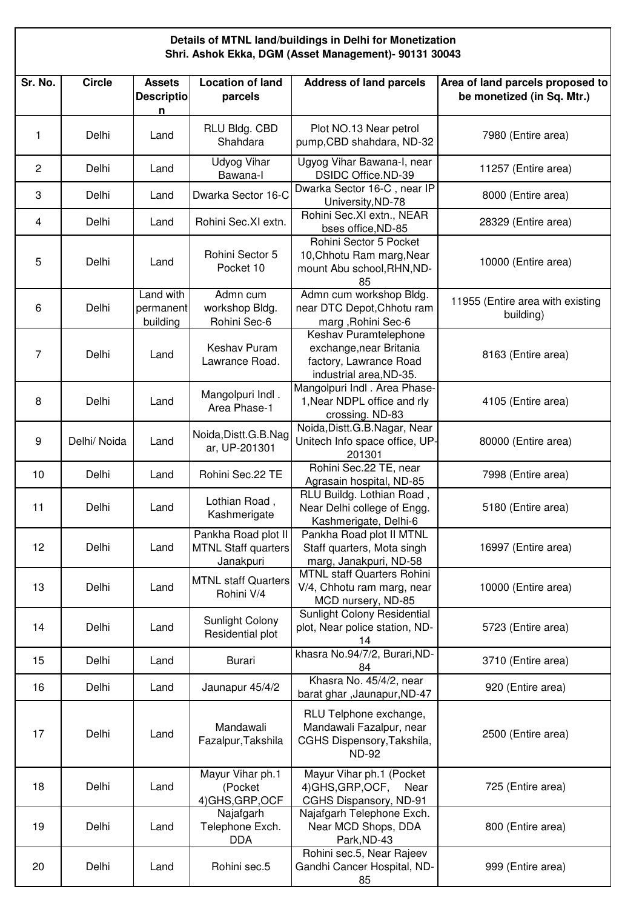### **Details of MTNL land/buildings in Delhi for Monetization Shri. Ashok Ekka, DGM (Asset Management)- 90131 30043**

| Sr. No. | <b>Circle</b> | <b>Assets</b><br><b>Descriptio</b><br>n | <b>Location of land</b><br>parcels                      | <b>Address of land parcels</b>                                                                        | Area of land parcels proposed to<br>be monetized (in Sq. Mtr.) |
|---------|---------------|-----------------------------------------|---------------------------------------------------------|-------------------------------------------------------------------------------------------------------|----------------------------------------------------------------|
| 1       | Delhi         | Land                                    | RLU Bldg. CBD<br>Shahdara                               | Plot NO.13 Near petrol<br>pump, CBD shahdara, ND-32                                                   | 7980 (Entire area)                                             |
| 2       | Delhi         | Land                                    | <b>Udyog Vihar</b><br>Bawana-l                          | Ugyog Vihar Bawana-I, near<br>DSIDC Office.ND-39                                                      | 11257 (Entire area)                                            |
| 3       | Delhi         | Land                                    | Dwarka Sector 16-C                                      | Dwarka Sector 16-C, near IP<br>University, ND-78                                                      | 8000 (Entire area)                                             |
| 4       | Delhi         | Land                                    | Rohini Sec.XI extn.                                     | Rohini Sec. XI extn., NEAR<br>bses office, ND-85                                                      | 28329 (Entire area)                                            |
| 5       | Delhi         | Land                                    | Rohini Sector 5<br>Pocket 10                            | Rohini Sector 5 Pocket<br>10, Chhotu Ram marg, Near<br>mount Abu school, RHN, ND-<br>85               | 10000 (Entire area)                                            |
| 6       | Delhi         | Land with<br>permanent<br>building      | Admn cum<br>workshop Bldg.<br>Rohini Sec-6              | Admn cum workshop Bldg.<br>near DTC Depot, Chhotu ram<br>marg, Rohini Sec-6                           | 11955 (Entire area with existing<br>building)                  |
| 7       | Delhi         | Land                                    | Keshav Puram<br>Lawrance Road.                          | Keshav Puramtelephone<br>exchange, near Britania<br>factory, Lawrance Road<br>industrial area, ND-35. | 8163 (Entire area)                                             |
| 8       | Delhi         | Land                                    | Mangolpuri Indl.<br>Area Phase-1                        | Mangolpuri Indl . Area Phase-<br>1, Near NDPL office and rly<br>crossing. ND-83                       | 4105 (Entire area)                                             |
| 9       | Delhi/ Noida  | Land                                    | Noida, Distt.G.B.Nag<br>ar, UP-201301                   | Noida, Distt.G.B.Nagar, Near<br>Unitech Info space office, UP-<br>201301                              | 80000 (Entire area)                                            |
| 10      | Delhi         | Land                                    | Rohini Sec.22 TE                                        | Rohini Sec.22 TE, near<br>Agrasain hospital, ND-85                                                    | 7998 (Entire area)                                             |
| 11      | Delhi         | Land                                    | Lothian Road,<br>Kashmerigate                           | RLU Buildg. Lothian Road,<br>Near Delhi college of Engg.<br>Kashmerigate, Delhi-6                     | 5180 (Entire area)                                             |
| 12      | Delhi         | Land                                    | Pankha Road plot II<br>MTNL Staff quarters<br>Janakpuri | Pankha Road plot II MTNL<br>Staff quarters, Mota singh<br>marg, Janakpuri, ND-58                      | 16997 (Entire area)                                            |
| 13      | Delhi         | Land                                    | <b>MTNL staff Quarters</b><br>Rohini V/4                | <b>MTNL staff Quarters Rohini</b><br>V/4, Chhotu ram marg, near<br>MCD nursery, ND-85                 | 10000 (Entire area)                                            |
| 14      | Delhi         | Land                                    | Sunlight Colony<br>Residential plot                     | Sunlight Colony Residential<br>plot, Near police station, ND-<br>14                                   | 5723 (Entire area)                                             |
| 15      | Delhi         | Land                                    | Burari                                                  | khasra No.94/7/2, Burari, ND-<br>84                                                                   | 3710 (Entire area)                                             |
| 16      | Delhi         | Land                                    | Jaunapur 45/4/2                                         | Khasra No. 45/4/2, near<br>barat ghar, Jaunapur, ND-47                                                | 920 (Entire area)                                              |
| 17      | Delhi         | Land                                    | Mandawali<br>Fazalpur, Takshila                         | RLU Telphone exchange,<br>Mandawali Fazalpur, near<br>CGHS Dispensory, Takshila,<br><b>ND-92</b>      | 2500 (Entire area)                                             |
| 18      | Delhi         | Land                                    | Mayur Vihar ph.1<br>(Pocket<br>4) GHS, GRP, OCF         | Mayur Vihar ph.1 (Pocket<br>4)GHS, GRP, OCF,<br>Near<br>CGHS Dispansory, ND-91                        | 725 (Entire area)                                              |
| 19      | Delhi         | Land                                    | Najafgarh<br>Telephone Exch.<br><b>DDA</b>              | Najafgarh Telephone Exch.<br>Near MCD Shops, DDA<br>Park, ND-43                                       | 800 (Entire area)                                              |
| 20      | Delhi         | Land                                    | Rohini sec.5                                            | Rohini sec.5, Near Rajeev<br>Gandhi Cancer Hospital, ND-<br>85                                        | 999 (Entire area)                                              |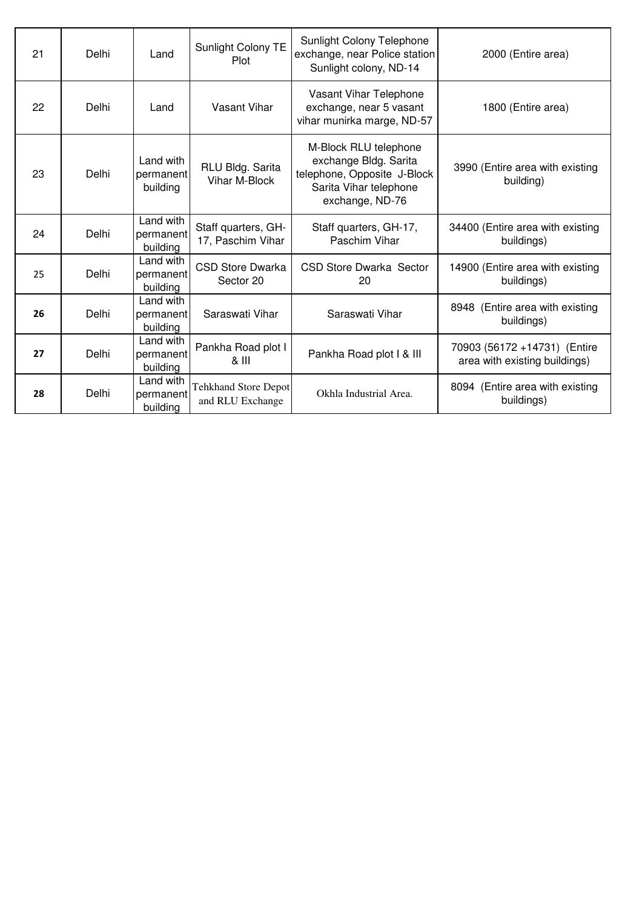| 21 | Delhi | Land                               | Sunlight Colony TE<br>Plot               | Sunlight Colony Telephone<br>exchange, near Police station<br>Sunlight colony, ND-14                                       | 2000 (Entire area)                                            |
|----|-------|------------------------------------|------------------------------------------|----------------------------------------------------------------------------------------------------------------------------|---------------------------------------------------------------|
| 22 | Delhi | Land                               | Vasant Vihar                             | Vasant Vihar Telephone<br>exchange, near 5 vasant<br>vihar munirka marge, ND-57                                            | 1800 (Entire area)                                            |
| 23 | Delhi | Land with<br>permanent<br>building | RLU Bldg. Sarita<br>Vihar M-Block        | M-Block RLU telephone<br>exchange Bldg. Sarita<br>telephone, Opposite J-Block<br>Sarita Vihar telephone<br>exchange, ND-76 | 3990 (Entire area with existing<br>building)                  |
| 24 | Delhi | Land with<br>permanent<br>building | Staff quarters, GH-<br>17, Paschim Vihar | Staff quarters, GH-17,<br>Paschim Vihar                                                                                    | 34400 (Entire area with existing<br>buildings)                |
| 25 | Delhi | Land with<br>permanent<br>building | <b>CSD Store Dwarka</b><br>Sector 20     | <b>CSD Store Dwarka Sector</b><br>20                                                                                       | 14900 (Entire area with existing<br>buildings)                |
| 26 | Delhi | Land with<br>permanent<br>building | Saraswati Vihar                          | Saraswati Vihar                                                                                                            | 8948 (Entire area with existing<br>buildings)                 |
| 27 | Delhi | Land with<br>permanent<br>building | Pankha Road plot I<br>& III              | Pankha Road plot I & III                                                                                                   | 70903 (56172 +14731) (Entire<br>area with existing buildings) |
| 28 | Delhi | Land with<br>permanent<br>building | Tehkhand Store Depot<br>and RLU Exchange | Okhla Industrial Area.                                                                                                     | 8094 (Entire area with existing<br>buildings)                 |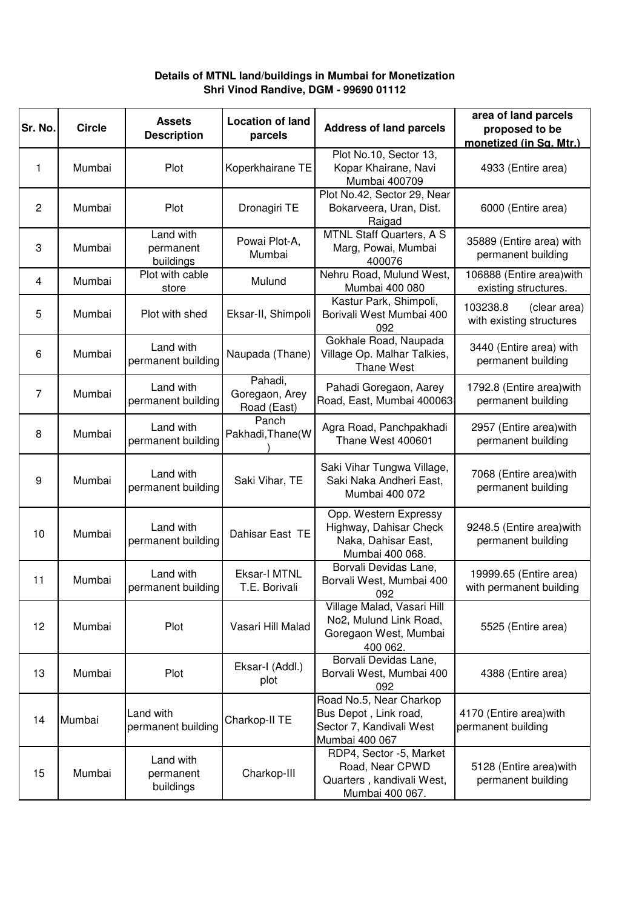**Details of MTNL land/buildings in Mumbai for Monetization Shri Vinod Randive, DGM - 99690 01112** 

| Sr. No.        | <b>Circle</b> | <b>Assets</b><br><b>Description</b>                                                                                     | <b>Location of land</b><br>parcels       | <b>Address of land parcels</b>                                                             | area of land parcels<br>proposed to be<br>monetized (in Sq. Mtr.) |
|----------------|---------------|-------------------------------------------------------------------------------------------------------------------------|------------------------------------------|--------------------------------------------------------------------------------------------|-------------------------------------------------------------------|
| 1              | Mumbai        | Plot                                                                                                                    | Koperkhairane TE                         | Plot No.10, Sector 13,<br>Kopar Khairane, Navi<br>Mumbai 400709                            | 4933 (Entire area)                                                |
| $\overline{c}$ | Mumbai        | Plot                                                                                                                    | Dronagiri TE                             | Plot No.42, Sector 29, Near<br>Bokarveera, Uran, Dist.<br>Raigad                           | 6000 (Entire area)                                                |
| 3              | Mumbai        | Land with<br>permanent<br>buildings                                                                                     | Powai Plot-A,<br>Mumbai                  | <b>MTNL Staff Quarters, A S</b><br>Marg, Powai, Mumbai<br>400076                           | 35889 (Entire area) with<br>permanent building                    |
| 4              | Mumbai        | Plot with cable<br>store                                                                                                | Mulund                                   | Nehru Road, Mulund West,<br>Mumbai 400 080                                                 | 106888 (Entire area) with<br>existing structures.                 |
| 5              | Mumbai        | Plot with shed                                                                                                          | Eksar-II, Shimpoli                       | Kastur Park, Shimpoli,<br>Borivali West Mumbai 400<br>092                                  | 103238.8<br>(clear area)<br>with existing structures              |
| 6              | Mumbai        | Land with<br>permanent building                                                                                         | Naupada (Thane)                          | Gokhale Road, Naupada<br>Village Op. Malhar Talkies,<br>Thane West                         | 3440 (Entire area) with<br>permanent building                     |
| 7              | Mumbai        | Land with<br>permanent building                                                                                         | Pahadi,<br>Goregaon, Arey<br>Road (East) | Pahadi Goregaon, Aarey<br>Road, East, Mumbai 400063                                        | 1792.8 (Entire area) with<br>permanent building                   |
| 8              | Mumbai        | Land with<br>permanent building                                                                                         | Panch<br>Pakhadi, Thane(W                | Agra Road, Panchpakhadi<br>Thane West 400601                                               | 2957 (Entire area) with<br>permanent building                     |
| 9              | Mumbai        | Land with<br>Saki Vihar, TE<br>permanent building                                                                       |                                          | Saki Vihar Tungwa Village,<br>Saki Naka Andheri East,<br>Mumbai 400 072                    | 7068 (Entire area) with<br>permanent building                     |
| 10             | Mumbai        | Land with<br>permanent building                                                                                         | Dahisar East TE                          | Opp. Western Expressy<br>Highway, Dahisar Check<br>Naka, Dahisar East,<br>Mumbai 400 068.  | 9248.5 (Entire area) with<br>permanent building                   |
| 11             | Mumbai        | Land with<br>permanent building                                                                                         | <b>Eksar-I MTNL</b><br>T.E. Borivali     | Borvali Devidas Lane,<br>Borvali West, Mumbai 400<br>092                                   | 19999.65 (Entire area)<br>with permanent building                 |
| 12             | Mumbai        | Plot                                                                                                                    | Vasari Hill Malad                        | Village Malad, Vasari Hill<br>No2, Mulund Link Road,<br>Goregaon West, Mumbai<br>400 062.  | 5525 (Entire area)                                                |
| 13             | Mumbai        | Plot                                                                                                                    | Eksar-I (Addl.)<br>plot                  | Borvali Devidas Lane,<br>Borvali West, Mumbai 400<br>092                                   | 4388 (Entire area)                                                |
| 14             | Mumbai        | Land with<br>Bus Depot, Link road,<br>Charkop-II TE<br>Sector 7, Kandivali West<br>permanent building<br>Mumbai 400 067 |                                          | Road No.5, Near Charkop                                                                    | 4170 (Entire area) with<br>permanent building                     |
| 15             | Mumbai        | Land with<br>permanent<br>buildings                                                                                     | Charkop-III                              | RDP4, Sector -5, Market<br>Road, Near CPWD<br>Quarters, kandivali West,<br>Mumbai 400 067. | 5128 (Entire area) with<br>permanent building                     |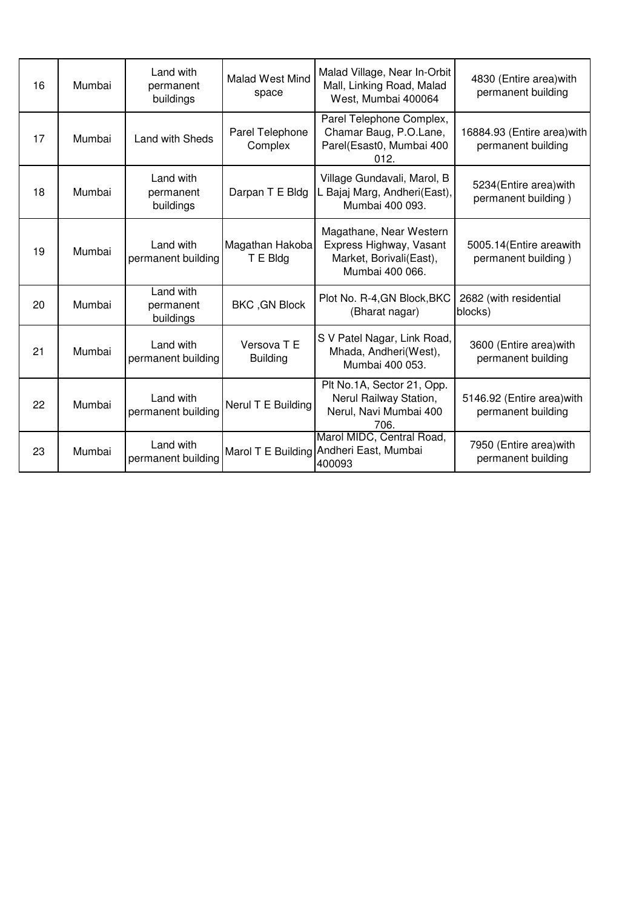| 16 | Mumbai | Land with<br>permanent<br>buildings                                                                                                      | <b>Malad West Mind</b><br>space                                                                                                 | Malad Village, Near In-Orbit<br>Mall, Linking Road, Malad<br>West, Mumbai 400064       | 4830 (Entire area) with<br>permanent building     |
|----|--------|------------------------------------------------------------------------------------------------------------------------------------------|---------------------------------------------------------------------------------------------------------------------------------|----------------------------------------------------------------------------------------|---------------------------------------------------|
| 17 | Mumbai | Land with Sheds                                                                                                                          | Parel Telephone<br>Complex                                                                                                      | Parel Telephone Complex,<br>Chamar Baug, P.O.Lane,<br>Parel(Esast0, Mumbai 400<br>012. | 16884.93 (Entire area) with<br>permanent building |
| 18 | Mumbai | Village Gundavali, Marol, B<br>Land with<br>Darpan T E Bldg<br>L Bajaj Marg, Andheri(East),<br>permanent<br>Mumbai 400 093.<br>buildings |                                                                                                                                 | 5234(Entire area) with<br>permanent building)                                          |                                                   |
| 19 | Mumbai | Land with<br>permanent building                                                                                                          | Magathane, Near Western<br>Magathan Hakoba<br>Express Highway, Vasant<br>Market, Borivali(East),<br>T E Bldg<br>Mumbai 400 066. |                                                                                        | 5005.14(Entire areawith<br>permanent building)    |
| 20 | Mumbai | Land with<br>permanent<br>buildings                                                                                                      | <b>BKC, GN Block</b>                                                                                                            | Plot No. R-4, GN Block, BKC<br>(Bharat nagar)                                          | 2682 (with residential<br>blocks)                 |
| 21 | Mumbai | Land with<br>permanent building                                                                                                          | Versova T E<br><b>Building</b>                                                                                                  | S V Patel Nagar, Link Road,<br>Mhada, Andheri(West),<br>Mumbai 400 053.                | 3600 (Entire area) with<br>permanent building     |
| 22 | Mumbai | Land with<br>permanent building                                                                                                          | Plt No.1A, Sector 21, Opp.<br>Nerul Railway Station,<br>Nerul T E Building<br>Nerul, Navi Mumbai 400<br>706.                    |                                                                                        | 5146.92 (Entire area) with<br>permanent building  |
| 23 | Mumbai | Land with<br>permanent building                                                                                                          |                                                                                                                                 | Marol MIDC, Central Road,<br>Marol T E Building Andheri East, Mumbai<br>400093         | 7950 (Entire area) with<br>permanent building     |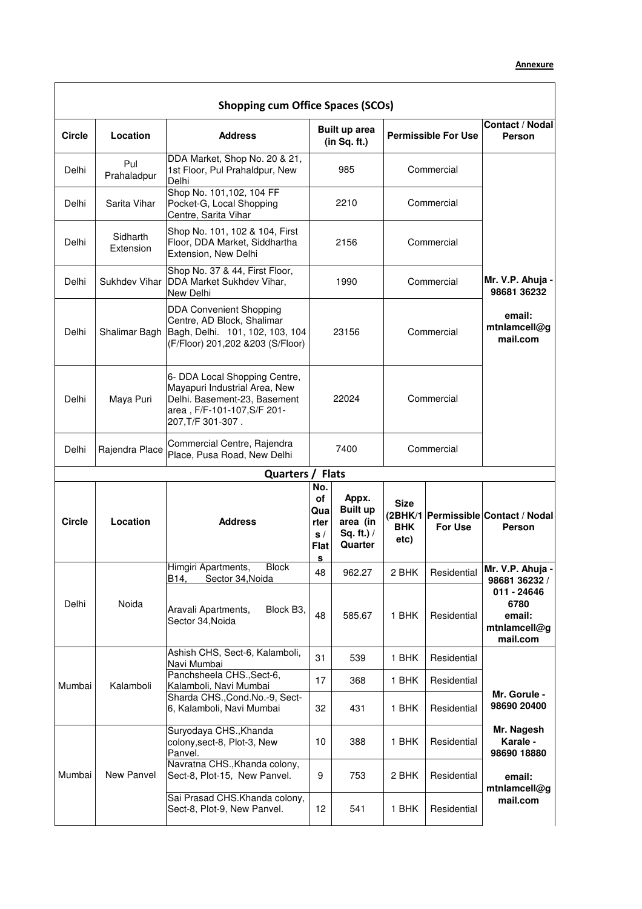#### **Annexure**

|               | <b>Shopping cum Office Spaces (SCOs)</b> |                                                                                                                                                    |                                        |                                                                 |                                   |                                    |                                                      |  |
|---------------|------------------------------------------|----------------------------------------------------------------------------------------------------------------------------------------------------|----------------------------------------|-----------------------------------------------------------------|-----------------------------------|------------------------------------|------------------------------------------------------|--|
| <b>Circle</b> | Location                                 | <b>Address</b>                                                                                                                                     |                                        | <b>Built up area</b><br>(in Sq. ft.)                            |                                   | <b>Permissible For Use</b>         | Contact / Nodal<br>Person                            |  |
| Delhi         | Pul<br>Prahaladpur                       | DDA Market, Shop No. 20 & 21,<br>1st Floor, Pul Prahaldpur, New<br>Delhi                                                                           |                                        | 985                                                             |                                   | Commercial                         |                                                      |  |
| Delhi         | Sarita Vihar                             | Shop No. 101,102, 104 FF<br>Pocket-G, Local Shopping<br>Centre, Sarita Vihar                                                                       |                                        | 2210                                                            |                                   | Commercial                         |                                                      |  |
| Delhi         | Sidharth<br>Extension                    | Shop No. 101, 102 & 104, First<br>Floor, DDA Market, Siddhartha<br>Extension, New Delhi                                                            |                                        | 2156                                                            |                                   | Commercial                         |                                                      |  |
| Delhi         | Sukhdev Vihar                            | Shop No. 37 & 44, First Floor,<br>DDA Market Sukhdev Vihar,<br>New Delhi                                                                           | 1990                                   |                                                                 |                                   | Commercial                         | Mr. V.P. Ahuja -<br>98681 36232                      |  |
| Delhi         | Shalimar Bagh                            | <b>DDA Convenient Shopping</b><br>Centre, AD Block, Shalimar<br>Bagh, Delhi. 101, 102, 103, 104<br>(F/Floor) 201,202 & 203 (S/Floor)               |                                        | 23156<br>Commercial                                             |                                   | email:<br>mtnlamcell@g<br>mail.com |                                                      |  |
| Delhi         | Maya Puri                                | 6- DDA Local Shopping Centre,<br>Mayapuri Industrial Area, New<br>Delhi. Basement-23, Basement<br>area, F/F-101-107, S/F 201-<br>207, T/F 301-307. |                                        | 22024                                                           |                                   | Commercial                         |                                                      |  |
| Delhi         | Rajendra Place                           | Commercial Centre, Rajendra<br>Place, Pusa Road, New Delhi                                                                                         |                                        | 7400                                                            |                                   | Commercial                         |                                                      |  |
|               |                                          | Quarters /                                                                                                                                         |                                        | <b>Flats</b>                                                    |                                   |                                    |                                                      |  |
| Circle        | Location                                 | <b>Address</b>                                                                                                                                     | No.<br>of<br>Qua<br>rter<br>s/<br>Flat | Appx.<br><b>Built up</b><br>area (in<br>Sq. ft.) $/$<br>Quarter | <b>Size</b><br><b>BHK</b><br>etc) | <b>For Use</b>                     | (2BHK/1 Permissible Contact / Nodal<br><b>Person</b> |  |
|               |                                          | Block<br>Himgiri Apartments,<br>Sector 34, Noida<br>B14.                                                                                           | s<br>48                                | 962.27                                                          | 2 BHK                             | Residential                        | Mr. V.P. Ahuja<br>98681 36232 /<br>011 - 24646       |  |
| Delhi         | Noida                                    | Aravali Apartments,<br>Block B3,<br>Sector 34, Noida                                                                                               | 48                                     | 585.67                                                          | 1 BHK                             | Residential                        | 6780<br>email:<br>mtnlamcell@g<br>mail.com           |  |
|               |                                          | Ashish CHS, Sect-6, Kalamboli,<br>Navi Mumbai                                                                                                      | 31                                     | 539                                                             | 1 BHK                             | Residential                        |                                                      |  |
| Mumbai        | Kalamboli                                | Panchsheela CHS., Sect-6,<br>Kalamboli, Navi Mumbai                                                                                                | 17                                     | 368                                                             | 1 BHK                             | Residential                        |                                                      |  |
|               |                                          | Sharda CHS., Cond. No.-9, Sect-<br>6, Kalamboli, Navi Mumbai                                                                                       | 32                                     | 431                                                             | 1 BHK                             | Residential                        | Mr. Gorule -<br>98690 20400                          |  |
|               |                                          | Suryodaya CHS., Khanda<br>colony, sect-8, Plot-3, New<br>Panvel.                                                                                   | 10                                     | 388                                                             | 1 BHK                             | Residential                        | Mr. Nagesh<br>Karale -<br>98690 18880                |  |
| Mumbai        | New Panvel                               | Navratna CHS., Khanda colony,<br>Sect-8, Plot-15, New Panvel.                                                                                      | 9                                      | 753                                                             | 2 BHK                             | Residential                        | email:<br>mtnlamcell@g                               |  |
|               |                                          | Sai Prasad CHS.Khanda colony,<br>Sect-8, Plot-9, New Panvel.                                                                                       | 12                                     | 541                                                             | 1 BHK                             | Residential                        | mail.com                                             |  |